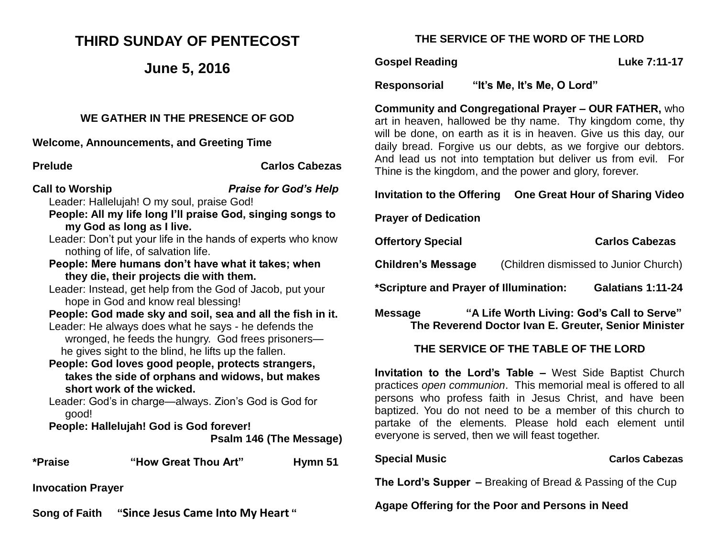## **THIRD SUNDAY OF PENTECOST**

## **June 5, 2016**

#### **WE GATHER IN THE PRESENCE OF GOD**

**Welcome, Announcements, and Greeting Time** 

**Prelude Carlos Cabezas**

- **Call to Worship** *Praise for God's Help* Leader: Hallelujah! O my soul, praise God!
	- **People: All my life long I'll praise God, singing songs to my God as long as I live.**
	- Leader: Don't put your life in the hands of experts who know nothing of life, of salvation life.
	- **People: Mere humans don't have what it takes; when they die, their projects die with them.**
	- Leader: Instead, get help from the God of Jacob, put your hope in God and know real blessing!
	- **People: God made sky and soil, sea and all the fish in it.** Leader: He always does what he says - he defends the wronged, he feeds the hungry. God frees prisoners he gives sight to the blind, he lifts up the fallen.
	- **People: God loves good people, protects strangers, takes the side of orphans and widows, but makes short work of the wicked.**

Leader: God's in charge—always. Zion's God is God for good!

**People: Hallelujah! God is God forever! Psalm 146 (The Message)**

**\*Praise "How Great Thou Art" Hymn 51**

**Invocation Prayer** 

**Song of Faith "Since Jesus Came Into My Heart "**

### **THE SERVICE OF THE WORD OF THE LORD**

#### **Gospel Reading Cospel Reading Cospel Reading Cospel Reading Cospel Reading Cospel Reading Cospel Reading Cospel Reading Cospel Reading Cospel Reading Cospel Reading Cospel Reading Cospel Reading Cospel Reading Cospel Read**

**Responsorial "It's Me, It's Me, O Lord"** 

**Community and Congregational Prayer – OUR FATHER,** who art in heaven, hallowed be thy name. Thy kingdom come, thy will be done, on earth as it is in heaven. Give us this day, our daily bread. Forgive us our debts, as we forgive our debtors. And lead us not into temptation but deliver us from evil. For Thine is the kingdom, and the power and glory, forever.

#### **Invitation to the Offering One Great Hour of Sharing Video**

**Prayer of Dedication**

**Offertory Special Carlos Cabezas** 

**Children's Message** (Children dismissed to Junior Church)

**\*Scripture and Prayer of Illumination: Galatians 1:11-24**

**Message "A Life Worth Living: God's Call to Serve" The Reverend Doctor Ivan E. Greuter, Senior Minister**

### **THE SERVICE OF THE TABLE OF THE LORD**

**Invitation to the Lord's Table –** West Side Baptist Church practices *open communion*. This memorial meal is offered to all persons who profess faith in Jesus Christ, and have been baptized. You do not need to be a member of this church to partake of the elements. Please hold each element until everyone is served, then we will feast together.

#### **Special Music Carlos Cabezas**

**The Lord's Supper –** Breaking of Bread & Passing of the Cup

**Agape Offering for the Poor and Persons in Need**